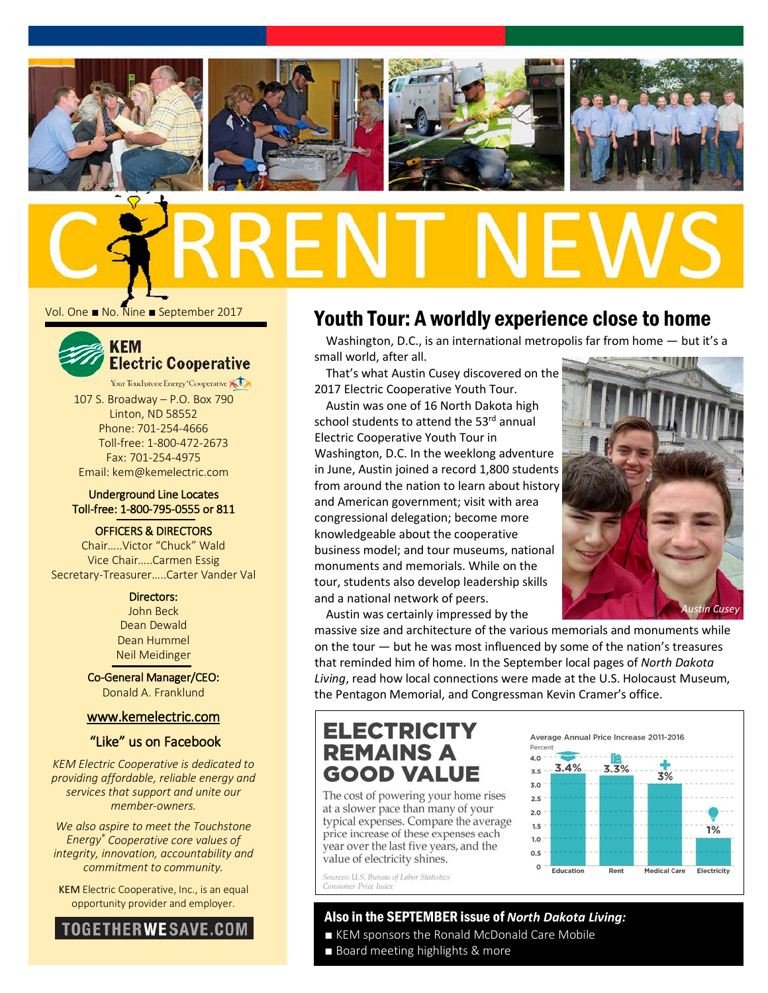







Vol. One ■ No. Nine ■ September 2017



Your Touchstone Energy "Cooperative 107 S. Broadway – P.O. Box 790 Linton, ND 58552 Phone: 701-254-4666 Toll-free: 1-800-472-2673 Fax: 701-254-4975 Email: kem@kemelectric.com

### Underground Line Locates Toll-free: 1-800-795-0555 or 811

OFFICERS & DIRECTORS

Chair…..Victor "Chuck" Wald Vice Chair…..Carmen Essig Secretary-Treasurer…..Carter Vander Val

> Directors: John Beck Dean Dewald Dean Hummel Neil Meidinger

Co-General Manager/CEO: Donald A. Franklund

### [www.kemelectric.com](http://www.kemelectric.com/)

### "Like" us on Facebook

*KEM Electric Cooperative is dedicated to providing affordable, reliable energy and services that support and unite our member-owners.*

*We also aspire to meet the Touchstone Energy® Cooperative core values of integrity, innovation, accountability and commitment to community.*

KEM Electric Cooperative, Inc., is an equal opportunity provider and employer.



# Youth Tour: A worldly experience close to home

Washington, D.C., is an international metropolis far from home — but it's a small world, after all.

That's what Austin Cusey discovered on the 2017 Electric Cooperative Youth Tour.

Austin was one of 16 North Dakota high school students to attend the 53rd annual Electric Cooperative Youth Tour in Washington, D.C. In the weeklong adventure in June, Austin joined a record 1,800 students from around the nation to learn about history and American government; visit with area congressional delegation; become more knowledgeable about the cooperative business model; and tour museums, national monuments and memorials. While on the tour, students also develop leadership skills and a national network of peers.



Austin was certainly impressed by the

massive size and architecture of the various memorials and monuments while on the tour — but he was most influenced by some of the nation's treasures that reminded him of home. In the September local pages of *North Dakota Living*, read how local connections were made at the U.S. Holocaust Museum, the Pentagon Memorial, and Congressman Kevin Cramer's office.

# **ELECTRICITY REMAINS A GOOD VALUE**

The cost of powering your home rises at a slower pace than many of your typical expenses. Compare the average price increase of these expenses each year over the last five years, and the value of electricity shines.

Sources; U.S. Bureau of Labor Statistics Consumer Price Index

### Average Annual Price Increase 2011-2016



### Also in the SEPTEMBER issue of *North Dakota Living:*

- KEM sponsors the Ronald McDonald Care Mobile
- Board meeting highlights & more